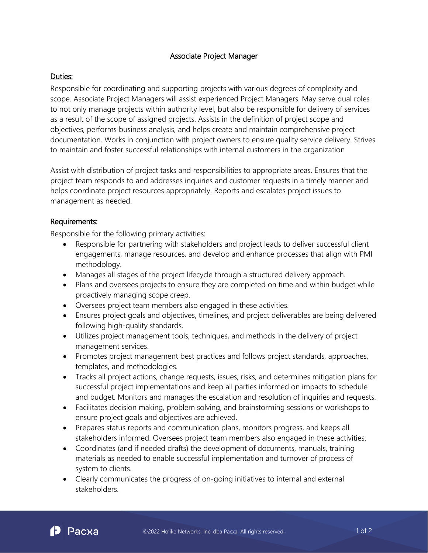# Associate Project Manager

# Duties:

Responsible for coordinating and supporting projects with various degrees of complexity and scope. Associate Project Managers will assist experienced Project Managers. May serve dual roles to not only manage projects within authority level, but also be responsible for delivery of services as a result of the scope of assigned projects. Assists in the definition of project scope and objectives, performs business analysis, and helps create and maintain comprehensive project documentation. Works in conjunction with project owners to ensure quality service delivery. Strives to maintain and foster successful relationships with internal customers in the organization

Assist with distribution of project tasks and responsibilities to appropriate areas. Ensures that the project team responds to and addresses inquiries and customer requests in a timely manner and helps coordinate project resources appropriately. Reports and escalates project issues to management as needed.

# Requirements:

Responsible for the following primary activities:

- Responsible for partnering with stakeholders and project leads to deliver successful client engagements, manage resources, and develop and enhance processes that align with PMI methodology.
- Manages all stages of the project lifecycle through a structured delivery approach.
- Plans and oversees projects to ensure they are completed on time and within budget while proactively managing scope creep.
- Oversees project team members also engaged in these activities.
- Ensures project goals and objectives, timelines, and project deliverables are being delivered following high-quality standards.
- Utilizes project management tools, techniques, and methods in the delivery of project management services.
- Promotes project management best practices and follows project standards, approaches, templates, and methodologies.
- Tracks all project actions, change requests, issues, risks, and determines mitigation plans for successful project implementations and keep all parties informed on impacts to schedule and budget. Monitors and manages the escalation and resolution of inquiries and requests.
- Facilitates decision making, problem solving, and brainstorming sessions or workshops to ensure project goals and objectives are achieved.
- Prepares status reports and communication plans, monitors progress, and keeps all stakeholders informed. Oversees project team members also engaged in these activities.
- Coordinates (and if needed drafts) the development of documents, manuals, training materials as needed to enable successful implementation and turnover of process of system to clients.
- Clearly communicates the progress of on-going initiatives to internal and external stakeholders.